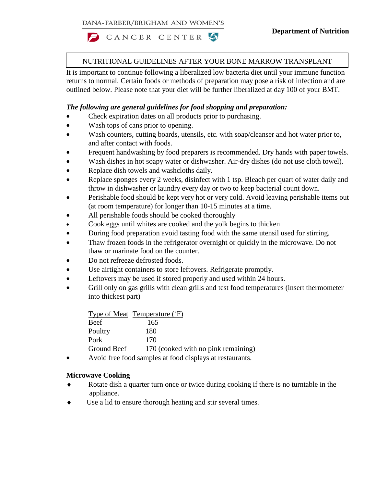CANCER CENTER 5

# NUTRITIONAL GUIDELINES AFTER YOUR BONE MARROW TRANSPLANT

It is important to continue following a liberalized low bacteria diet until your immune function returns to normal. Certain foods or methods of preparation may pose a risk of infection and are outlined below. Please note that your diet will be further liberalized at day 100 of your BMT.

### *The following are general guidelines for food shopping and preparation:*

- Check expiration dates on all products prior to purchasing.
- Wash tops of cans prior to opening.
- Wash counters, cutting boards, utensils, etc. with soap/cleanser and hot water prior to, and after contact with foods.
- Frequent handwashing by food preparers is recommended. Dry hands with paper towels.
- Wash dishes in hot soapy water or dishwasher. Air-dry dishes (do not use cloth towel).
- Replace dish towels and washcloths daily.
- Replace sponges every 2 weeks, disinfect with 1 tsp. Bleach per quart of water daily and throw in dishwasher or laundry every day or two to keep bacterial count down.
- Perishable food should be kept very hot or very cold. Avoid leaving perishable items out (at room temperature) for longer than 10-15 minutes at a time.
- All perishable foods should be cooked thoroughly
- Cook eggs until whites are cooked and the yolk begins to thicken
- During food preparation avoid tasting food with the same utensil used for stirring.
- Thaw frozen foods in the refrigerator overnight or quickly in the microwave. Do not thaw or marinate food on the counter.
- Do not refreeze defrosted foods.
- Use airtight containers to store leftovers. Refrigerate promptly.
- Leftovers may be used if stored properly and used within 24 hours.
- Grill only on gas grills with clean grills and test food temperatures (insert thermometer into thickest part)

|             | Type of Meat Temperature (°F)                                                                                                                                                                                                                                                                         |
|-------------|-------------------------------------------------------------------------------------------------------------------------------------------------------------------------------------------------------------------------------------------------------------------------------------------------------|
| Beef        | 165                                                                                                                                                                                                                                                                                                   |
| Poultry     | 180                                                                                                                                                                                                                                                                                                   |
| Pork        | 170                                                                                                                                                                                                                                                                                                   |
| Ground Beef | 170 (cooked with no pink remaining)                                                                                                                                                                                                                                                                   |
|             | $\lambda$ , $\lambda$ for $\lambda$ for $\lambda$ is a set of $\lambda$ is a set of $\lambda$ is a set of $\lambda$ is a set of $\lambda$ is a set of $\lambda$ is a set of $\lambda$ is a set of $\lambda$ is a set of $\lambda$ is a set of $\lambda$ is a set of $\lambda$ is a set of $\lambda$ i |

• Avoid free food samples at food displays at restaurants.

#### **Microwave Cooking**

- Rotate dish a quarter turn once or twice during cooking if there is no turntable in the appliance.
- Use a lid to ensure thorough heating and stir several times.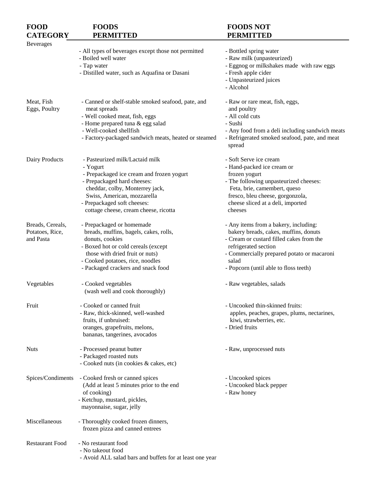| <b>FOOD</b>            | <b>FOODS</b>                                             | <b>FOODS NOT</b>                                |
|------------------------|----------------------------------------------------------|-------------------------------------------------|
| <b>CATEGORY</b>        | <b>PERMITTED</b>                                         | <b>PERMITTED</b>                                |
| <b>Beverages</b>       |                                                          |                                                 |
|                        | - All types of beverages except those not permitted      | - Bottled spring water                          |
|                        | - Boiled well water                                      | - Raw milk (unpasteurized)                      |
|                        | - Tap water                                              | - Eggnog or milkshakes made with raw eggs       |
|                        | - Distilled water, such as Aquafina or Dasani            | - Fresh apple cider                             |
|                        |                                                          | - Unpasteurized juices                          |
|                        |                                                          | - Alcohol                                       |
|                        |                                                          |                                                 |
| Meat, Fish             | - Canned or shelf-stable smoked seafood, pate, and       | - Raw or rare meat, fish, eggs,                 |
| Eggs, Poultry          | meat spreads                                             | and poultry                                     |
|                        | - Well cooked meat, fish, eggs                           | - All cold cuts                                 |
|                        | - Home prepared tuna & egg salad                         | - Sushi                                         |
|                        | - Well-cooked shellfish                                  | - Any food from a deli including sandwich meats |
|                        | - Factory-packaged sandwich meats, heated or steamed     | - Refrigerated smoked seafood, pate, and meat   |
|                        |                                                          | spread                                          |
|                        |                                                          |                                                 |
| Dairy Products         | - Pasteurized milk/Lactaid milk                          | - Soft Serve ice cream                          |
|                        | - Yogurt                                                 | - Hand-packed ice cream or                      |
|                        | - Prepackaged ice cream and frozen yogurt                | frozen yogurt                                   |
|                        | - Prepackaged hard cheeses:                              | - The following unpasteurized cheeses:          |
|                        | cheddar, colby, Monterrey jack,                          | Feta, brie, camembert, queso                    |
|                        | Swiss, American, mozzarella                              | fresco, bleu cheese, gorgonzola,                |
|                        | - Prepackaged soft cheeses:                              | cheese sliced at a deli, imported               |
|                        | cottage cheese, cream cheese, ricotta                    | cheeses                                         |
| Breads, Cereals,       | - Prepackaged or homemade                                | - Any items from a bakery, including:           |
| Potatoes, Rice,        | breads, muffins, bagels, cakes, rolls,                   | bakery breads, cakes, muffins, donuts           |
| and Pasta              | donuts, cookies                                          | - Cream or custard filled cakes from the        |
|                        | - Boxed hot or cold cereals (except                      | refrigerated section                            |
|                        | those with dried fruit or nuts)                          | - Commercially prepared potato or macaroni      |
|                        | - Cooked potatoes, rice, noodles                         | salad                                           |
|                        | - Packaged crackers and snack food                       | - Popcorn (until able to floss teeth)           |
|                        |                                                          |                                                 |
| Vegetables             | - Cooked vegetables                                      | - Raw vegetables, salads                        |
|                        | (wash well and cook thoroughly)                          |                                                 |
| Fruit                  | - Cooked or canned fruit                                 | - Uncooked thin-skinned fruits:                 |
|                        | - Raw, thick-skinned, well-washed                        | apples, peaches, grapes, plums, nectarines,     |
|                        | fruits, if unbruised:                                    | kiwi, strawberries, etc.                        |
|                        | oranges, grapefruits, melons,                            | - Dried fruits                                  |
|                        | bananas, tangerines, avocados                            |                                                 |
|                        |                                                          |                                                 |
| <b>Nuts</b>            | - Processed peanut butter                                | - Raw, unprocessed nuts                         |
|                        | - Packaged roasted nuts                                  |                                                 |
|                        | - Cooked nuts (in cookies & cakes, etc)                  |                                                 |
| Spices/Condiments      | - Cooked fresh or canned spices                          | - Uncooked spices                               |
|                        | (Add at least 5 minutes prior to the end                 | - Uncooked black pepper                         |
|                        | of cooking)                                              | - Raw honey                                     |
|                        | - Ketchup, mustard, pickles,                             |                                                 |
|                        | mayonnaise, sugar, jelly                                 |                                                 |
| Miscellaneous          |                                                          |                                                 |
|                        | - Thoroughly cooked frozen dinners,                      |                                                 |
|                        | frozen pizza and canned entrees                          |                                                 |
| <b>Restaurant Food</b> | - No restaurant food                                     |                                                 |
|                        | - No takeout food                                        |                                                 |
|                        | - Avoid ALL salad bars and buffets for at least one year |                                                 |
|                        |                                                          |                                                 |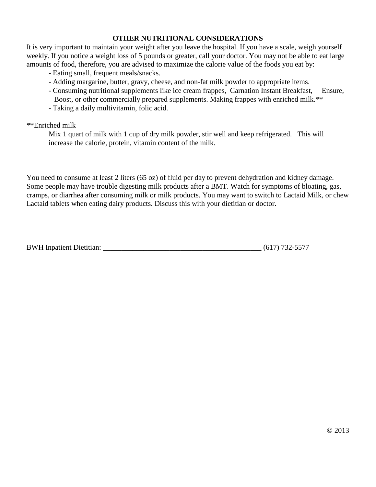## **OTHER NUTRITIONAL CONSIDERATIONS**

It is very important to maintain your weight after you leave the hospital. If you have a scale, weigh yourself weekly. If you notice a weight loss of 5 pounds or greater, call your doctor. You may not be able to eat large amounts of food, therefore, you are advised to maximize the calorie value of the foods you eat by:

- Eating small, frequent meals/snacks.
- Adding margarine, butter, gravy, cheese, and non-fat milk powder to appropriate items.
- Consuming nutritional supplements like ice cream frappes, Carnation Instant Breakfast, Ensure, Boost, or other commercially prepared supplements. Making frappes with enriched milk.<sup>\*\*</sup>
- Taking a daily multivitamin, folic acid.

#### \*\*Enriched milk

Mix 1 quart of milk with 1 cup of dry milk powder, stir well and keep refrigerated. This will increase the calorie, protein, vitamin content of the milk.

You need to consume at least 2 liters (65 oz) of fluid per day to prevent dehydration and kidney damage. Some people may have trouble digesting milk products after a BMT. Watch for symptoms of bloating, gas, cramps, or diarrhea after consuming milk or milk products. You may want to switch to Lactaid Milk, or chew Lactaid tablets when eating dairy products. Discuss this with your dietitian or doctor.

| <b>BWH</b> Inpatient Dietitian: | $(617)$ 732-5577 |  |
|---------------------------------|------------------|--|
|                                 |                  |  |